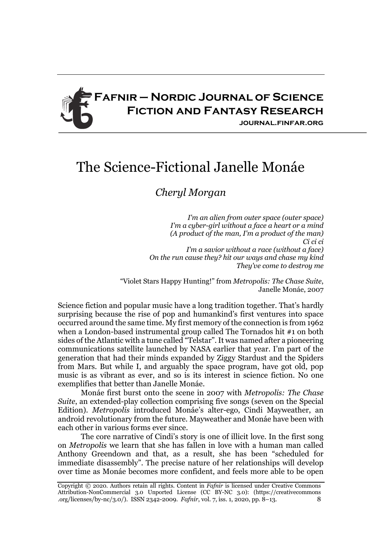

## The Science-Fictional Janelle Monáe

## *Cheryl Morgan*

*I'm an alien from outer space (outer space) I'm a cyber-girl without a face a heart or a mind (A product of the man, I'm a product of the man) Ci ci ci I'm a savior without a race (without a face) On the run cause they? hit our ways and chase my kind They've come to destroy me*

"Violet Stars Happy Hunting!" from *Metropolis: The Chase Suite*, Janelle Monáe, 2007

Science fiction and popular music have a long tradition together. That's hardly surprising because the rise of pop and humankind's first ventures into space occurred around the same time. My first memory of the connection is from 1962 when a London-based instrumental group called The Tornados hit #1 on both sides of the Atlantic with a tune called "Telstar". It was named after a pioneering communications satellite launched by NASA earlier that year. I'm part of the generation that had their minds expanded by Ziggy Stardust and the Spiders from Mars. But while I, and arguably the space program, have got old, pop music is as vibrant as ever, and so is its interest in science fiction. No one exemplifies that better than Janelle Monáe.

Monáe first burst onto the scene in 2007 with *Metropolis: The Chase Suite*, an extended-play collection comprising five songs (seven on the Special Edition). *Metropolis* introduced Monáe's alter-ego, Cindi Mayweather, an android revolutionary from the future. Mayweather and Monáe have been with each other in various forms ever since.

The core narrative of Cindi's story is one of illicit love. In the first song on *Metropolis* we learn that she has fallen in love with a human man called Anthony Greendown and that, as a result, she has been "scheduled for immediate disassembly". The precise nature of her relationships will develop over time as Monáe becomes more confident, and feels more able to be open

Copyright © 2020. Authors retain all rights. Content in *Fafnir* is licensed under Creative Commons Attribution-NonCommercial 3.0 Unported License (CC BY-NC 3.0): (https://creativecommons .org/licenses/by-nc/3.0/). ISSN 2342-2009. *Fafnir*, vol. 7, iss. 1, 2020, pp. 8–13. 8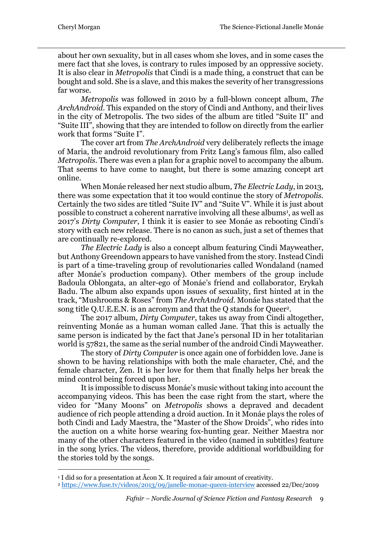about her own sexuality, but in all cases whom she loves, and in some cases the mere fact that she loves, is contrary to rules imposed by an oppressive society. It is also clear in *Metropolis* that Cindi is a made thing, a construct that can be bought and sold. She is a slave, and this makes the severity of her transgressions far worse.

*Metropolis* was followed in 2010 by a full-blown concept album, *The ArchAndroid*. This expanded on the story of Cindi and Anthony, and their lives in the city of Metropolis. The two sides of the album are titled "Suite II" and "Suite III", showing that they are intended to follow on directly from the earlier work that forms "Suite I".

The cover art from *The ArchAndroid* very deliberately reflects the image of Maria, the android revolutionary from Fritz Lang's famous film, also called *Metropolis*. There was even a plan for a graphic novel to accompany the album. That seems to have come to naught, but there is some amazing concept art online.

When Monáe released her next studio album, *The Electric Lady*, in 2013, there was some expectation that it too would continue the story of *Metropolis*. Certainly the two sides are titled "Suite IV" and "Suite V". While it is just about possible to construct a coherent narrative involving all these albums1, as well as 2017's *Dirty Computer*, I think it is easier to see Monáe as rebooting Cindi's story with each new release. There is no canon as such, just a set of themes that are continually re-explored.

*The Electric Lady* is also a concept album featuring Cindi Mayweather, but Anthony Greendown appears to have vanished from the story. Instead Cindi is part of a time-traveling group of revolutionaries called Wondaland (named after Monáe's production company). Other members of the group include Badoula Oblongata, an alter-ego of Monáe's friend and collaborator, Erykah Badu. The album also expands upon issues of sexuality, first hinted at in the track, "Mushrooms & Roses" from *The ArchAndroid*. Monáe has stated that the song title Q.U.E.E.N. is an acronym and that the Q stands for Queer2.

The 2017 album, *Dirty Computer*, takes us away from Cindi altogether, reinventing Monáe as a human woman called Jane. That this is actually the same person is indicated by the fact that Jane's personal ID in her totalitarian world is 57821, the same as the serial number of the android Cindi Mayweather.

The story of *Dirty Computer* is once again one of forbidden love. Jane is shown to be having relationships with both the male character, Ché, and the female character, Zen. It is her love for them that finally helps her break the mind control being forced upon her.

It is impossible to discuss Monáe's music without taking into account the accompanying videos. This has been the case right from the start, where the video for "Many Moons" on *Metropolis* shows a depraved and decadent audience of rich people attending a droid auction. In it Monáe plays the roles of both Cindi and Lady Maestra, the "Master of the Show Droids", who rides into the auction on a white horse wearing fox-hunting gear. Neither Maestra nor many of the other characters featured in the video (named in subtitles) feature in the song lyrics. The videos, therefore, provide additional worldbuilding for the stories told by the songs.

<sup>&</sup>lt;sup>1</sup> I did so for a presentation at Åcon X. It required a fair amount of creativity.

<sup>2</sup> https://www.fuse.tv/videos/2013/09/janelle-monae-queen-interview accessed 22/Dec/2019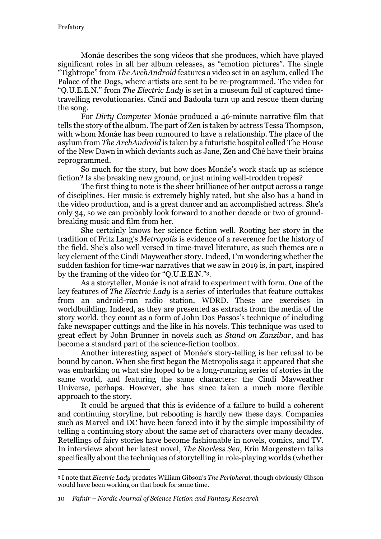Monáe describes the song videos that she produces, which have played significant roles in all her album releases, as "emotion pictures". The single "Tightrope" from *The ArchAndroid* features a video set in an asylum, called The Palace of the Dogs, where artists are sent to be re-programmed. The video for "Q.U.E.E.N." from *The Electric Lady* is set in a museum full of captured timetravelling revolutionaries. Cindi and Badoula turn up and rescue them during the song.

For *Dirty Computer* Monáe produced a 46-minute narrative film that tells the story of the album. The part of Zen is taken by actress Tessa Thompson, with whom Monáe has been rumoured to have a relationship. The place of the asylum from *The ArchAndroid* is taken by a futuristic hospital called The House of the New Dawn in which deviants such as Jane, Zen and Ché have their brains reprogrammed.

So much for the story, but how does Monáe's work stack up as science fiction? Is she breaking new ground, or just mining well-trodden tropes?

The first thing to note is the sheer brilliance of her output across a range of disciplines. Her music is extremely highly rated, but she also has a hand in the video production, and is a great dancer and an accomplished actress. She's only 34, so we can probably look forward to another decade or two of groundbreaking music and film from her.

She certainly knows her science fiction well. Rooting her story in the tradition of Fritz Lang's *Metropolis* is evidence of a reverence for the history of the field. She's also well versed in time-travel literature, as such themes are a key element of the Cindi Mayweather story. Indeed, I'm wondering whether the sudden fashion for time-war narratives that we saw in 2019 is, in part, inspired by the framing of the video for "Q.U.E.E.N."3.

As a storyteller, Monáe is not afraid to experiment with form. One of the key features of *The Electric Lady* is a series of interludes that feature outtakes from an android-run radio station, WDRD. These are exercises in worldbuilding. Indeed, as they are presented as extracts from the media of the story world, they count as a form of John Dos Passos's technique of including fake newspaper cuttings and the like in his novels. This technique was used to great effect by John Brunner in novels such as *Stand on Zanzibar*, and has become a standard part of the science-fiction toolbox.

Another interesting aspect of Monáe's story-telling is her refusal to be bound by canon. When she first began the Metropolis saga it appeared that she was embarking on what she hoped to be a long-running series of stories in the same world, and featuring the same characters: the Cindi Mayweather Universe, perhaps. However, she has since taken a much more flexible approach to the story.

It could be argued that this is evidence of a failure to build a coherent and continuing storyline, but rebooting is hardly new these days. Companies such as Marvel and DC have been forced into it by the simple impossibility of telling a continuing story about the same set of characters over many decades. Retellings of fairy stories have become fashionable in novels, comics, and TV. In interviews about her latest novel, *The Starless Sea*, Erin Morgenstern talks specifically about the techniques of storytelling in role-playing worlds (whether

<sup>3</sup> I note that *Electric Lady* predates William Gibson's *The Peripheral*, though obviously Gibson would have been working on that book for some time.

<sup>10</sup> *Fafnir – Nordic Journal of Science Fiction and Fantasy Research*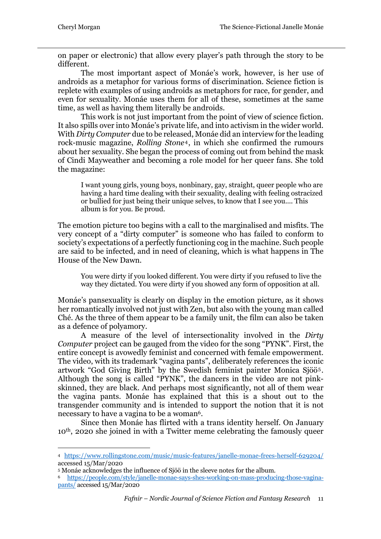on paper or electronic) that allow every player's path through the story to be different.

The most important aspect of Monáe's work, however, is her use of androids as a metaphor for various forms of discrimination. Science fiction is replete with examples of using androids as metaphors for race, for gender, and even for sexuality. Monáe uses them for all of these, sometimes at the same time, as well as having them literally be androids.

This work is not just important from the point of view of science fiction. It also spills over into Monáe's private life, and into activism in the wider world. With *Dirty Computer* due to be released, Monáe did an interview for the leading rock-music magazine, *Rolling Stone*4, in which she confirmed the rumours about her sexuality. She began the process of coming out from behind the mask of Cindi Mayweather and becoming a role model for her queer fans. She told the magazine:

I want young girls, young boys, nonbinary, gay, straight, queer people who are having a hard time dealing with their sexuality, dealing with feeling ostracized or bullied for just being their unique selves, to know that I see you.... This album is for you. Be proud.

The emotion picture too begins with a call to the marginalised and misfits. The very concept of a "dirty computer" is someone who has failed to conform to society's expectations of a perfectly functioning cog in the machine. Such people are said to be infected, and in need of cleaning, which is what happens in The House of the New Dawn.

You were dirty if you looked different. You were dirty if you refused to live the way they dictated. You were dirty if you showed any form of opposition at all.

Monáe's pansexuality is clearly on display in the emotion picture, as it shows her romantically involved not just with Zen, but also with the young man called Ché. As the three of them appear to be a family unit, the film can also be taken as a defence of polyamory.

A measure of the level of intersectionality involved in the *Dirty Computer* project can be gauged from the video for the song "PYNK". First, the entire concept is avowedly feminist and concerned with female empowerment. The video, with its trademark "vagina pants", deliberately references the iconic artwork "God Giving Birth" by the Swedish feminist painter Monica Sjöö5. Although the song is called "PYNK", the dancers in the video are not pinkskinned, they are black. And perhaps most significantly, not all of them wear the vagina pants. Monáe has explained that this is a shout out to the transgender community and is intended to support the notion that it is not necessary to have a vagina to be a woman<sup>6</sup>.

Since then Monáe has flirted with a trans identity herself. On January 10th, 2020 she joined in with a Twitter meme celebrating the famously queer

<sup>4</sup> https://www.rollingstone.com/music/music-features/janelle-monae-frees-herself-629204/ accessed 15/Mar/2020

<sup>5</sup> Monáe acknowledges the influence of Sjöö in the sleeve notes for the album.

<sup>6</sup> https://people.com/style/janelle-monae-says-shes-working-on-mass-producing-those-vaginapants/ accessed 15/Mar/2020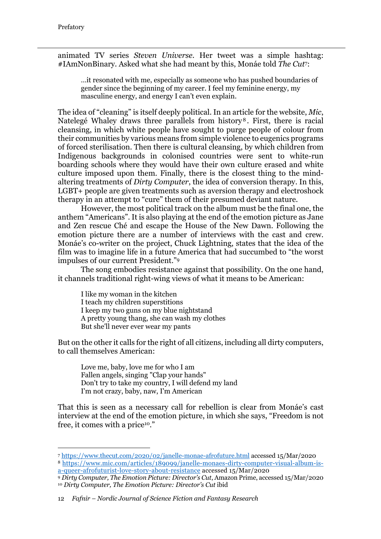animated TV series *Steven Universe*. Her tweet was a simple hashtag: #IAmNonBinary. Asked what she had meant by this, Monáe told *The Cut*7:

…it resonated with me, especially as someone who has pushed boundaries of gender since the beginning of my career. I feel my feminine energy, my masculine energy, and energy I can't even explain.

The idea of "cleaning" is itself deeply political. In an article for the website, *Mic*, Natelegé Whaley draws three parallels from history<sup>8</sup>. First, there is racial cleansing, in which white people have sought to purge people of colour from their communities by various means from simple violence to eugenics programs of forced sterilisation. Then there is cultural cleansing, by which children from Indigenous backgrounds in colonised countries were sent to white-run boarding schools where they would have their own culture erased and white culture imposed upon them. Finally, there is the closest thing to the mindaltering treatments of *Dirty Computer*, the idea of conversion therapy. In this, LGBT+ people are given treatments such as aversion therapy and electroshock therapy in an attempt to "cure" them of their presumed deviant nature.

However, the most political track on the album must be the final one, the anthem "Americans". It is also playing at the end of the emotion picture as Jane and Zen rescue Ché and escape the House of the New Dawn. Following the emotion picture there are a number of interviews with the cast and crew. Monáe's co-writer on the project, Chuck Lightning, states that the idea of the film was to imagine life in a future America that had succumbed to "the worst impulses of our current President."9

The song embodies resistance against that possibility. On the one hand, it channels traditional right-wing views of what it means to be American:

I like my woman in the kitchen I teach my children superstitions I keep my two guns on my blue nightstand A pretty young thang, she can wash my clothes But she'll never ever wear my pants

But on the other it calls for the right of all citizens, including all dirty computers, to call themselves American:

Love me, baby, love me for who I am Fallen angels, singing "Clap your hands" Don't try to take my country, I will defend my land I'm not crazy, baby, naw, I'm American

That this is seen as a necessary call for rebellion is clear from Monáe's cast interview at the end of the emotion picture, in which she says, "Freedom is not free, it comes with a price10."

<sup>7</sup> https://www.thecut.com/2020/02/janelle-monae-afrofuture.html accessed 15/Mar/2020 <sup>8</sup> https://www.mic.com/articles/189099/janelle-monaes-dirty-computer-visual-album-is-

a-queer-afrofuturist-love-story-about-resistance accessed 15/Mar/2020

<sup>9</sup> *Dirty Computer, The Emotion Picture: Director's Cut*, Amazon Prime, accessed 15/Mar/2020 <sup>10</sup> *Dirty Computer, The Emotion Picture: Director's Cut* ibid

<sup>12</sup> *Fafnir – Nordic Journal of Science Fiction and Fantasy Research*